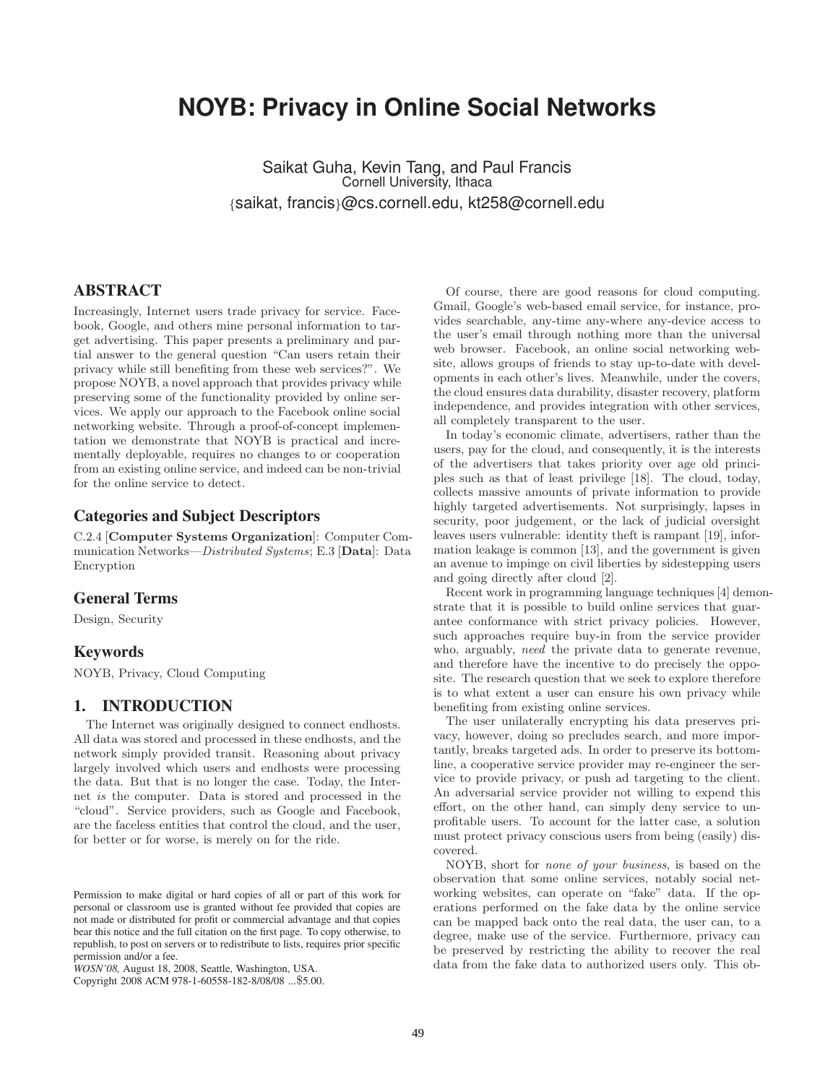# **NOYB: Privacy in Online Social Networks**

Saikat Guha, Kevin Tang, and Paul Francis Cornell University, Ithaca {saikat, francis}@cs.cornell.edu, kt258@cornell.edu

# ABSTRACT

Increasingly, Internet users trade privacy for service. Facebook, Google, and others mine personal information to target advertising. This paper presents a preliminary and partial answer to the general question "Can users retain their privacy while still benefiting from these web services?". We propose NOYB, a novel approach that provides privacy while preserving some of the functionality provided by online services. We apply our approach to the Facebook online social networking website. Through a proof-of-concept implementation we demonstrate that NOYB is practical and incrementally deployable, requires no changes to or cooperation from an existing online service, and indeed can be non-trivial for the online service to detect.

## Categories and Subject Descriptors

C.2.4 [Computer Systems Organization]: Computer Communication Networks—Distributed Systems; E.3 [Data]: Data Encryption

## General Terms

Design, Security

# Keywords

NOYB, Privacy, Cloud Computing

#### 1. INTRODUCTION

The Internet was originally designed to connect endhosts. All data was stored and processed in these endhosts, and the network simply provided transit. Reasoning about privacy largely involved which users and endhosts were processing the data. But that is no longer the case. Today, the Internet is the computer. Data is stored and processed in the "cloud". Service providers, such as Google and Facebook, are the faceless entities that control the cloud, and the user, for better or for worse, is merely on for the ride.

Copyright 2008 ACM 978-1-60558-182-8/08/08 ...\$5.00.

Of course, there are good reasons for cloud computing. Gmail, Google's web-based email service, for instance, provides searchable, any-time any-where any-device access to the user's email through nothing more than the universal web browser. Facebook, an online social networking website, allows groups of friends to stay up-to-date with developments in each other's lives. Meanwhile, under the covers, the cloud ensures data durability, disaster recovery, platform independence, and provides integration with other services, all completely transparent to the user.

In today's economic climate, advertisers, rather than the users, pay for the cloud, and consequently, it is the interests of the advertisers that takes priority over age old principles such as that of least privilege [18]. The cloud, today, collects massive amounts of private information to provide highly targeted advertisements. Not surprisingly, lapses in security, poor judgement, or the lack of judicial oversight leaves users vulnerable: identity theft is rampant [19], information leakage is common [13], and the government is given an avenue to impinge on civil liberties by sidestepping users and going directly after cloud [2].

Recent work in programming language techniques [4] demonstrate that it is possible to build online services that guarantee conformance with strict privacy policies. However, such approaches require buy-in from the service provider who, arguably, need the private data to generate revenue, and therefore have the incentive to do precisely the opposite. The research question that we seek to explore therefore is to what extent a user can ensure his own privacy while benefiting from existing online services.

The user unilaterally encrypting his data preserves privacy, however, doing so precludes search, and more importantly, breaks targeted ads. In order to preserve its bottomline, a cooperative service provider may re-engineer the service to provide privacy, or push ad targeting to the client. An adversarial service provider not willing to expend this effort, on the other hand, can simply deny service to unprofitable users. To account for the latter case, a solution must protect privacy conscious users from being (easily) discovered.

NOYB, short for none of your business, is based on the observation that some online services, notably social networking websites, can operate on "fake" data. If the operations performed on the fake data by the online service can be mapped back onto the real data, the user can, to a degree, make use of the service. Furthermore, privacy can be preserved by restricting the ability to recover the real data from the fake data to authorized users only. This ob-

Permission to make digital or hard copies of all or part of this work for personal or classroom use is granted without fee provided that copies are not made or distributed for profit or commercial advantage and that copies bear this notice and the full citation on the first page. To copy otherwise, to republish, to post on servers or to redistribute to lists, requires prior specific permission and/or a fee.

*WOSN'08,* August 18, 2008, Seattle, Washington, USA.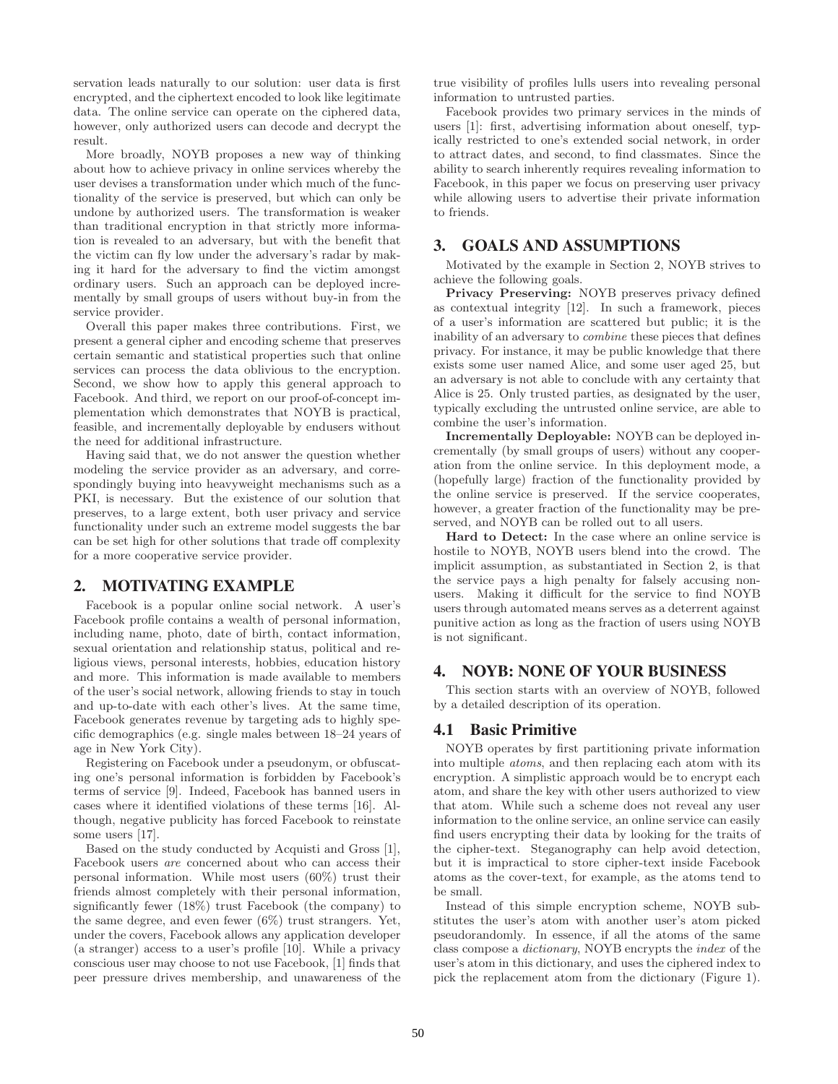servation leads naturally to our solution: user data is first encrypted, and the ciphertext encoded to look like legitimate data. The online service can operate on the ciphered data, however, only authorized users can decode and decrypt the result.

More broadly, NOYB proposes a new way of thinking about how to achieve privacy in online services whereby the user devises a transformation under which much of the functionality of the service is preserved, but which can only be undone by authorized users. The transformation is weaker than traditional encryption in that strictly more information is revealed to an adversary, but with the benefit that the victim can fly low under the adversary's radar by making it hard for the adversary to find the victim amongst ordinary users. Such an approach can be deployed incrementally by small groups of users without buy-in from the service provider.

Overall this paper makes three contributions. First, we present a general cipher and encoding scheme that preserves certain semantic and statistical properties such that online services can process the data oblivious to the encryption. Second, we show how to apply this general approach to Facebook. And third, we report on our proof-of-concept implementation which demonstrates that NOYB is practical, feasible, and incrementally deployable by endusers without the need for additional infrastructure.

Having said that, we do not answer the question whether modeling the service provider as an adversary, and correspondingly buying into heavyweight mechanisms such as a PKI, is necessary. But the existence of our solution that preserves, to a large extent, both user privacy and service functionality under such an extreme model suggests the bar can be set high for other solutions that trade off complexity for a more cooperative service provider.

## 2. MOTIVATING EXAMPLE

Facebook is a popular online social network. A user's Facebook profile contains a wealth of personal information, including name, photo, date of birth, contact information, sexual orientation and relationship status, political and religious views, personal interests, hobbies, education history and more. This information is made available to members of the user's social network, allowing friends to stay in touch and up-to-date with each other's lives. At the same time, Facebook generates revenue by targeting ads to highly specific demographics (e.g. single males between 18–24 years of age in New York City).

Registering on Facebook under a pseudonym, or obfuscating one's personal information is forbidden by Facebook's terms of service [9]. Indeed, Facebook has banned users in cases where it identified violations of these terms [16]. Although, negative publicity has forced Facebook to reinstate some users [17].

Based on the study conducted by Acquisti and Gross [1], Facebook users are concerned about who can access their personal information. While most users (60%) trust their friends almost completely with their personal information, significantly fewer (18%) trust Facebook (the company) to the same degree, and even fewer (6%) trust strangers. Yet, under the covers, Facebook allows any application developer (a stranger) access to a user's profile [10]. While a privacy conscious user may choose to not use Facebook, [1] finds that peer pressure drives membership, and unawareness of the true visibility of profiles lulls users into revealing personal information to untrusted parties.

Facebook provides two primary services in the minds of users [1]: first, advertising information about oneself, typically restricted to one's extended social network, in order to attract dates, and second, to find classmates. Since the ability to search inherently requires revealing information to Facebook, in this paper we focus on preserving user privacy while allowing users to advertise their private information to friends.

# 3. GOALS AND ASSUMPTIONS

Motivated by the example in Section 2, NOYB strives to achieve the following goals.

Privacy Preserving: NOYB preserves privacy defined as contextual integrity [12]. In such a framework, pieces of a user's information are scattered but public; it is the inability of an adversary to combine these pieces that defines privacy. For instance, it may be public knowledge that there exists some user named Alice, and some user aged 25, but an adversary is not able to conclude with any certainty that Alice is 25. Only trusted parties, as designated by the user, typically excluding the untrusted online service, are able to combine the user's information.

Incrementally Deployable: NOYB can be deployed incrementally (by small groups of users) without any cooperation from the online service. In this deployment mode, a (hopefully large) fraction of the functionality provided by the online service is preserved. If the service cooperates, however, a greater fraction of the functionality may be preserved, and NOYB can be rolled out to all users.

Hard to Detect: In the case where an online service is hostile to NOYB, NOYB users blend into the crowd. The implicit assumption, as substantiated in Section 2, is that the service pays a high penalty for falsely accusing nonusers. Making it difficult for the service to find NOYB users through automated means serves as a deterrent against punitive action as long as the fraction of users using NOYB is not significant.

# 4. NOYB: NONE OF YOUR BUSINESS

This section starts with an overview of NOYB, followed by a detailed description of its operation.

#### 4.1 Basic Primitive

NOYB operates by first partitioning private information into multiple atoms, and then replacing each atom with its encryption. A simplistic approach would be to encrypt each atom, and share the key with other users authorized to view that atom. While such a scheme does not reveal any user information to the online service, an online service can easily find users encrypting their data by looking for the traits of the cipher-text. Steganography can help avoid detection, but it is impractical to store cipher-text inside Facebook atoms as the cover-text, for example, as the atoms tend to be small.

Instead of this simple encryption scheme, NOYB substitutes the user's atom with another user's atom picked pseudorandomly. In essence, if all the atoms of the same class compose a dictionary, NOYB encrypts the index of the user's atom in this dictionary, and uses the ciphered index to pick the replacement atom from the dictionary (Figure 1).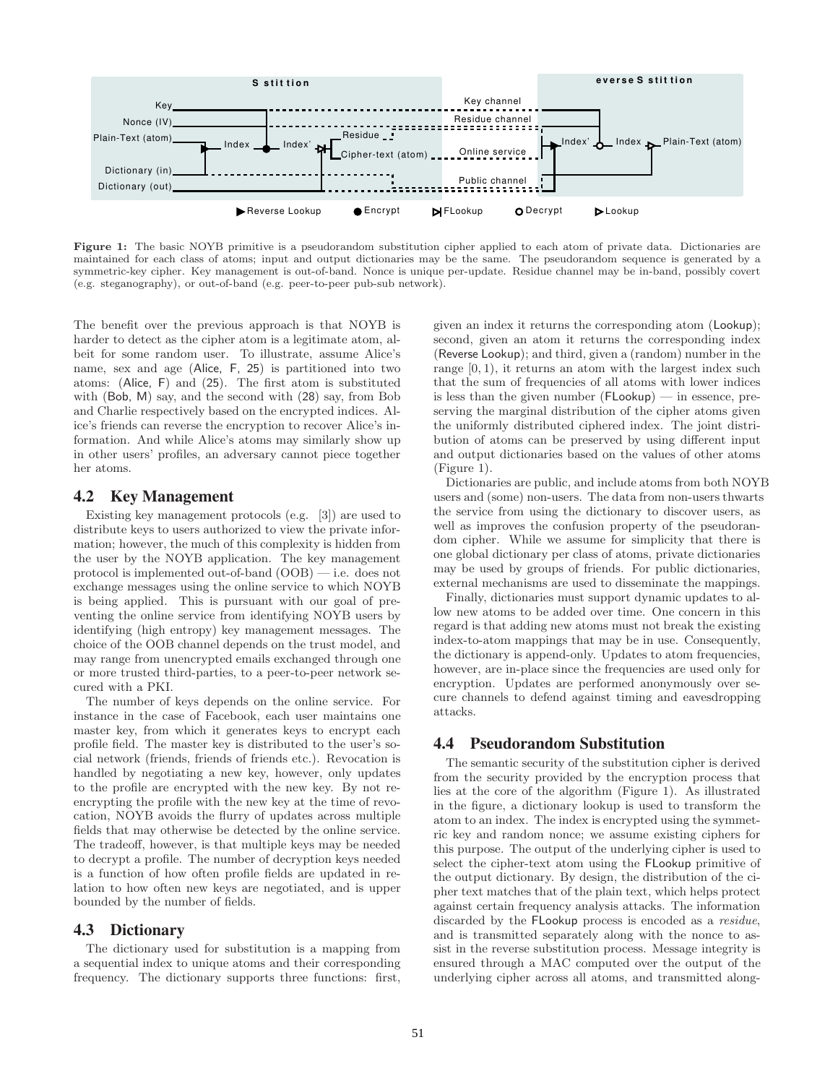

Figure 1: The basic NOYB primitive is a pseudorandom substitution cipher applied to each atom of private data. Dictionaries are maintained for each class of atoms; input and output dictionaries may be the same. The pseudorandom sequence is generated by a symmetric-key cipher. Key management is out-of-band. Nonce is unique per-update. Residue channel may be in-band, possibly covert (e.g. steganography), or out-of-band (e.g. peer-to-peer pub-sub network).

The benefit over the previous approach is that NOYB is harder to detect as the cipher atom is a legitimate atom, albeit for some random user. To illustrate, assume Alice's name, sex and age (Alice, F, 25) is partitioned into two atoms: (Alice, F) and (25). The first atom is substituted with (Bob, M) say, and the second with (28) say, from Bob and Charlie respectively based on the encrypted indices. Alice's friends can reverse the encryption to recover Alice's information. And while Alice's atoms may similarly show up in other users' profiles, an adversary cannot piece together her atoms.

#### 4.2 Key Management

Existing key management protocols (e.g. [3]) are used to distribute keys to users authorized to view the private information; however, the much of this complexity is hidden from the user by the NOYB application. The key management protocol is implemented out-of-band (OOB) — i.e. does not exchange messages using the online service to which NOYB is being applied. This is pursuant with our goal of preventing the online service from identifying NOYB users by identifying (high entropy) key management messages. The choice of the OOB channel depends on the trust model, and may range from unencrypted emails exchanged through one or more trusted third-parties, to a peer-to-peer network secured with a PKI.

The number of keys depends on the online service. For instance in the case of Facebook, each user maintains one master key, from which it generates keys to encrypt each profile field. The master key is distributed to the user's social network (friends, friends of friends etc.). Revocation is handled by negotiating a new key, however, only updates to the profile are encrypted with the new key. By not reencrypting the profile with the new key at the time of revocation, NOYB avoids the flurry of updates across multiple fields that may otherwise be detected by the online service. The tradeoff, however, is that multiple keys may be needed to decrypt a profile. The number of decryption keys needed is a function of how often profile fields are updated in relation to how often new keys are negotiated, and is upper bounded by the number of fields.

#### 4.3 Dictionary

The dictionary used for substitution is a mapping from a sequential index to unique atoms and their corresponding frequency. The dictionary supports three functions: first,

given an index it returns the corresponding atom (Lookup); second, given an atom it returns the corresponding index (Reverse Lookup); and third, given a (random) number in the range  $[0, 1)$ , it returns an atom with the largest index such that the sum of frequencies of all atoms with lower indices is less than the given number  $(FLookup)$  — in essence, preserving the marginal distribution of the cipher atoms given the uniformly distributed ciphered index. The joint distribution of atoms can be preserved by using different input and output dictionaries based on the values of other atoms (Figure 1).

Dictionaries are public, and include atoms from both NOYB users and (some) non-users. The data from non-users thwarts the service from using the dictionary to discover users, as well as improves the confusion property of the pseudorandom cipher. While we assume for simplicity that there is one global dictionary per class of atoms, private dictionaries may be used by groups of friends. For public dictionaries, external mechanisms are used to disseminate the mappings.

Finally, dictionaries must support dynamic updates to allow new atoms to be added over time. One concern in this regard is that adding new atoms must not break the existing index-to-atom mappings that may be in use. Consequently, the dictionary is append-only. Updates to atom frequencies, however, are in-place since the frequencies are used only for encryption. Updates are performed anonymously over secure channels to defend against timing and eavesdropping attacks.

## 4.4 Pseudorandom Substitution

The semantic security of the substitution cipher is derived from the security provided by the encryption process that lies at the core of the algorithm (Figure 1). As illustrated in the figure, a dictionary lookup is used to transform the atom to an index. The index is encrypted using the symmetric key and random nonce; we assume existing ciphers for this purpose. The output of the underlying cipher is used to select the cipher-text atom using the FLookup primitive of the output dictionary. By design, the distribution of the cipher text matches that of the plain text, which helps protect against certain frequency analysis attacks. The information discarded by the FLookup process is encoded as a *residue*, and is transmitted separately along with the nonce to assist in the reverse substitution process. Message integrity is ensured through a MAC computed over the output of the underlying cipher across all atoms, and transmitted along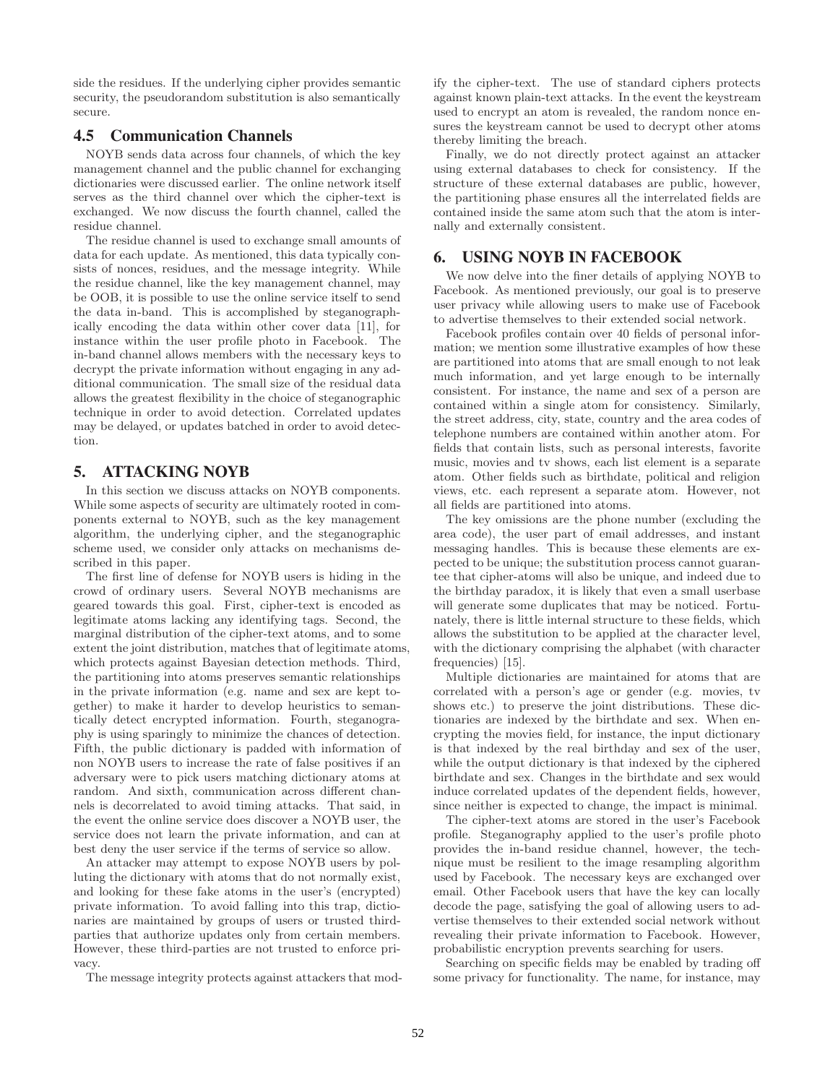side the residues. If the underlying cipher provides semantic security, the pseudorandom substitution is also semantically secure.

# 4.5 Communication Channels

NOYB sends data across four channels, of which the key management channel and the public channel for exchanging dictionaries were discussed earlier. The online network itself serves as the third channel over which the cipher-text is exchanged. We now discuss the fourth channel, called the residue channel.

The residue channel is used to exchange small amounts of data for each update. As mentioned, this data typically consists of nonces, residues, and the message integrity. While the residue channel, like the key management channel, may be OOB, it is possible to use the online service itself to send the data in-band. This is accomplished by steganographically encoding the data within other cover data [11], for instance within the user profile photo in Facebook. The in-band channel allows members with the necessary keys to decrypt the private information without engaging in any additional communication. The small size of the residual data allows the greatest flexibility in the choice of steganographic technique in order to avoid detection. Correlated updates may be delayed, or updates batched in order to avoid detection.

# 5. ATTACKING NOYB

In this section we discuss attacks on NOYB components. While some aspects of security are ultimately rooted in components external to NOYB, such as the key management algorithm, the underlying cipher, and the steganographic scheme used, we consider only attacks on mechanisms described in this paper.

The first line of defense for NOYB users is hiding in the crowd of ordinary users. Several NOYB mechanisms are geared towards this goal. First, cipher-text is encoded as legitimate atoms lacking any identifying tags. Second, the marginal distribution of the cipher-text atoms, and to some extent the joint distribution, matches that of legitimate atoms, which protects against Bayesian detection methods. Third, the partitioning into atoms preserves semantic relationships in the private information (e.g. name and sex are kept together) to make it harder to develop heuristics to semantically detect encrypted information. Fourth, steganography is using sparingly to minimize the chances of detection. Fifth, the public dictionary is padded with information of non NOYB users to increase the rate of false positives if an adversary were to pick users matching dictionary atoms at random. And sixth, communication across different channels is decorrelated to avoid timing attacks. That said, in the event the online service does discover a NOYB user, the service does not learn the private information, and can at best deny the user service if the terms of service so allow.

An attacker may attempt to expose NOYB users by polluting the dictionary with atoms that do not normally exist, and looking for these fake atoms in the user's (encrypted) private information. To avoid falling into this trap, dictionaries are maintained by groups of users or trusted thirdparties that authorize updates only from certain members. However, these third-parties are not trusted to enforce privacy.

The message integrity protects against attackers that mod-

ify the cipher-text. The use of standard ciphers protects against known plain-text attacks. In the event the keystream used to encrypt an atom is revealed, the random nonce ensures the keystream cannot be used to decrypt other atoms thereby limiting the breach.

Finally, we do not directly protect against an attacker using external databases to check for consistency. If the structure of these external databases are public, however, the partitioning phase ensures all the interrelated fields are contained inside the same atom such that the atom is internally and externally consistent.

## 6. USING NOYB IN FACEBOOK

We now delve into the finer details of applying NOYB to Facebook. As mentioned previously, our goal is to preserve user privacy while allowing users to make use of Facebook to advertise themselves to their extended social network.

Facebook profiles contain over 40 fields of personal information; we mention some illustrative examples of how these are partitioned into atoms that are small enough to not leak much information, and yet large enough to be internally consistent. For instance, the name and sex of a person are contained within a single atom for consistency. Similarly, the street address, city, state, country and the area codes of telephone numbers are contained within another atom. For fields that contain lists, such as personal interests, favorite music, movies and tv shows, each list element is a separate atom. Other fields such as birthdate, political and religion views, etc. each represent a separate atom. However, not all fields are partitioned into atoms.

The key omissions are the phone number (excluding the area code), the user part of email addresses, and instant messaging handles. This is because these elements are expected to be unique; the substitution process cannot guarantee that cipher-atoms will also be unique, and indeed due to the birthday paradox, it is likely that even a small userbase will generate some duplicates that may be noticed. Fortunately, there is little internal structure to these fields, which allows the substitution to be applied at the character level, with the dictionary comprising the alphabet (with character frequencies) [15].

Multiple dictionaries are maintained for atoms that are correlated with a person's age or gender (e.g. movies, tv shows etc.) to preserve the joint distributions. These dictionaries are indexed by the birthdate and sex. When encrypting the movies field, for instance, the input dictionary is that indexed by the real birthday and sex of the user, while the output dictionary is that indexed by the ciphered birthdate and sex. Changes in the birthdate and sex would induce correlated updates of the dependent fields, however, since neither is expected to change, the impact is minimal.

The cipher-text atoms are stored in the user's Facebook profile. Steganography applied to the user's profile photo provides the in-band residue channel, however, the technique must be resilient to the image resampling algorithm used by Facebook. The necessary keys are exchanged over email. Other Facebook users that have the key can locally decode the page, satisfying the goal of allowing users to advertise themselves to their extended social network without revealing their private information to Facebook. However, probabilistic encryption prevents searching for users.

Searching on specific fields may be enabled by trading off some privacy for functionality. The name, for instance, may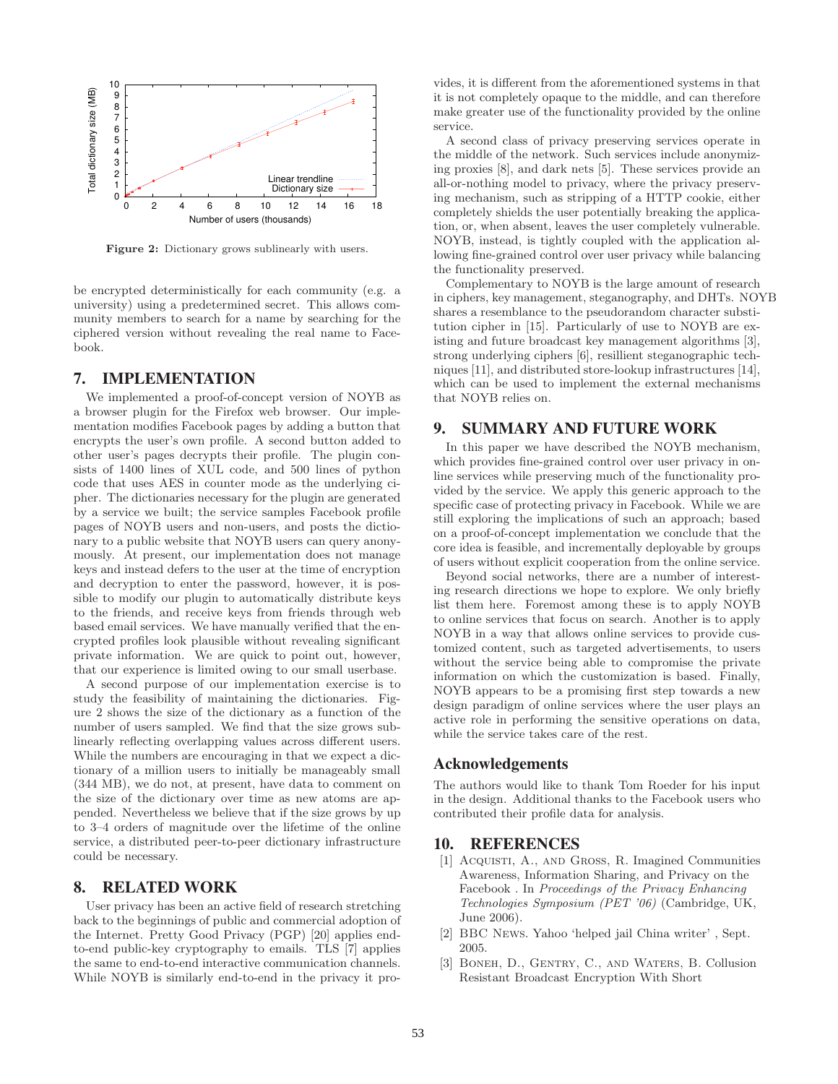

Figure 2: Dictionary grows sublinearly with users.

be encrypted deterministically for each community (e.g. a university) using a predetermined secret. This allows community members to search for a name by searching for the ciphered version without revealing the real name to Facebook.

#### 7. IMPLEMENTATION

We implemented a proof-of-concept version of NOYB as a browser plugin for the Firefox web browser. Our implementation modifies Facebook pages by adding a button that encrypts the user's own profile. A second button added to other user's pages decrypts their profile. The plugin consists of 1400 lines of XUL code, and 500 lines of python code that uses AES in counter mode as the underlying cipher. The dictionaries necessary for the plugin are generated by a service we built; the service samples Facebook profile pages of NOYB users and non-users, and posts the dictionary to a public website that NOYB users can query anonymously. At present, our implementation does not manage keys and instead defers to the user at the time of encryption and decryption to enter the password, however, it is possible to modify our plugin to automatically distribute keys to the friends, and receive keys from friends through web based email services. We have manually verified that the encrypted profiles look plausible without revealing significant private information. We are quick to point out, however, that our experience is limited owing to our small userbase.

A second purpose of our implementation exercise is to study the feasibility of maintaining the dictionaries. Figure 2 shows the size of the dictionary as a function of the number of users sampled. We find that the size grows sublinearly reflecting overlapping values across different users. While the numbers are encouraging in that we expect a dictionary of a million users to initially be manageably small (344 MB), we do not, at present, have data to comment on the size of the dictionary over time as new atoms are appended. Nevertheless we believe that if the size grows by up to 3–4 orders of magnitude over the lifetime of the online service, a distributed peer-to-peer dictionary infrastructure could be necessary.

## 8. RELATED WORK

User privacy has been an active field of research stretching back to the beginnings of public and commercial adoption of the Internet. Pretty Good Privacy (PGP) [20] applies endto-end public-key cryptography to emails. TLS [7] applies the same to end-to-end interactive communication channels. While NOYB is similarly end-to-end in the privacy it provides, it is different from the aforementioned systems in that it is not completely opaque to the middle, and can therefore make greater use of the functionality provided by the online service.

A second class of privacy preserving services operate in the middle of the network. Such services include anonymizing proxies [8], and dark nets [5]. These services provide an all-or-nothing model to privacy, where the privacy preserving mechanism, such as stripping of a HTTP cookie, either completely shields the user potentially breaking the application, or, when absent, leaves the user completely vulnerable. NOYB, instead, is tightly coupled with the application allowing fine-grained control over user privacy while balancing the functionality preserved.

Complementary to NOYB is the large amount of research in ciphers, key management, steganography, and DHTs. NOYB shares a resemblance to the pseudorandom character substitution cipher in [15]. Particularly of use to NOYB are existing and future broadcast key management algorithms [3], strong underlying ciphers [6], resillient steganographic techniques [11], and distributed store-lookup infrastructures [14], which can be used to implement the external mechanisms that NOYB relies on.

## 9. SUMMARY AND FUTURE WORK

In this paper we have described the NOYB mechanism, which provides fine-grained control over user privacy in online services while preserving much of the functionality provided by the service. We apply this generic approach to the specific case of protecting privacy in Facebook. While we are still exploring the implications of such an approach; based on a proof-of-concept implementation we conclude that the core idea is feasible, and incrementally deployable by groups of users without explicit cooperation from the online service.

Beyond social networks, there are a number of interesting research directions we hope to explore. We only briefly list them here. Foremost among these is to apply NOYB to online services that focus on search. Another is to apply NOYB in a way that allows online services to provide customized content, such as targeted advertisements, to users without the service being able to compromise the private information on which the customization is based. Finally, NOYB appears to be a promising first step towards a new design paradigm of online services where the user plays an active role in performing the sensitive operations on data, while the service takes care of the rest.

## Acknowledgements

The authors would like to thank Tom Roeder for his input in the design. Additional thanks to the Facebook users who contributed their profile data for analysis.

### 10. REFERENCES

- [1] Acquisti, A., and Gross, R. Imagined Communities Awareness, Information Sharing, and Privacy on the Facebook . In Proceedings of the Privacy Enhancing Technologies Symposium (PET '06) (Cambridge, UK, June 2006).
- [2] BBC News. Yahoo 'helped jail China writer' , Sept. 2005.
- [3] BONEH, D., GENTRY, C., AND WATERS, B. Collusion Resistant Broadcast Encryption With Short